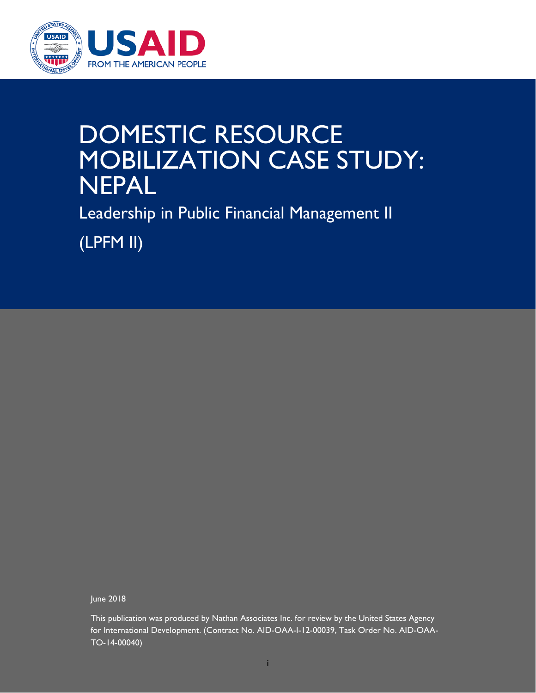

## DOMESTIC RESOURCE MOBILIZATION CASE STUDY: NEPAL

Leadership in Public Financial Management II

(LPFM II)

June 2018

This publication was produced by Nathan Associates Inc. for review by the United States Agency for International Development. (Contract No. AID-OAA-I-12-00039, Task Order No. AID-OAA-TO-14-00040)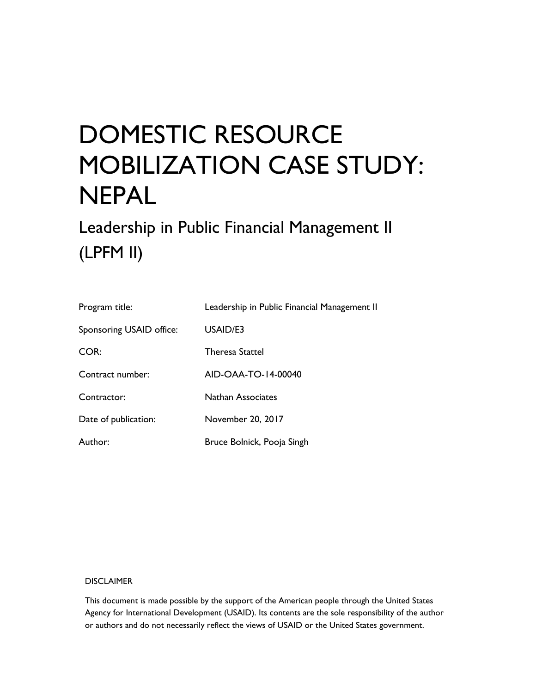# DOMESTIC RESOURCE MOBILIZATION CASE STUDY: NEPAL

Leadership in Public Financial Management II (LPFM II)

| Program title:           | Leadership in Public Financial Management II |
|--------------------------|----------------------------------------------|
| Sponsoring USAID office: | USAID/E3                                     |
| COR:                     | <b>Theresa Stattel</b>                       |
| Contract number:         | AID-OAA-TO-14-00040                          |
| Contractor:              | <b>Nathan Associates</b>                     |
| Date of publication:     | November 20, 2017                            |
| Author:                  | Bruce Bolnick, Pooja Singh                   |

#### DISCLAIMER

This document is made possible by the support of the American people through the United States Agency for International Development (USAID). Its contents are the sole responsibility of the author or authors and do not necessarily reflect the views of USAID or the United States government.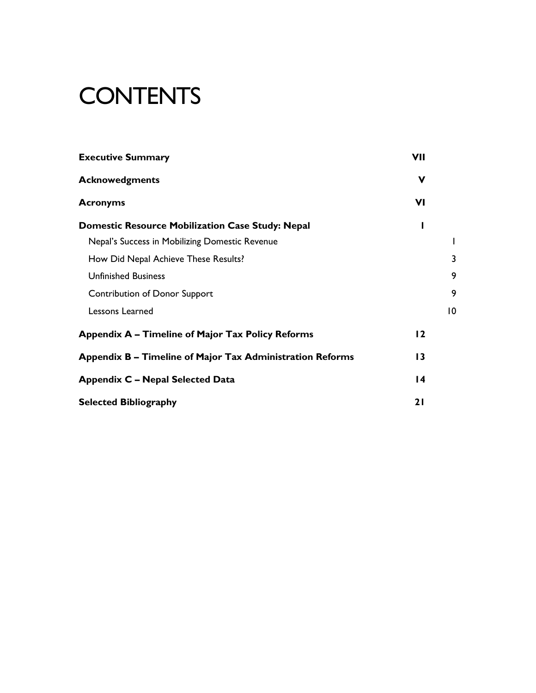# **CONTENTS**

| <b>Executive Summary</b>                                  | <b>VII</b>      |    |
|-----------------------------------------------------------|-----------------|----|
| <b>Acknowedgments</b>                                     | $\mathbf v$     |    |
| <b>Acronyms</b>                                           | VI              |    |
| <b>Domestic Resource Mobilization Case Study: Nepal</b>   | ı               |    |
| Nepal's Success in Mobilizing Domestic Revenue            |                 |    |
| How Did Nepal Achieve These Results?                      |                 | 3  |
| <b>Unfinished Business</b>                                |                 | 9  |
| <b>Contribution of Donor Support</b>                      |                 | 9  |
| Lessons Learned                                           |                 | 10 |
| Appendix A – Timeline of Major Tax Policy Reforms         | $\overline{12}$ |    |
| Appendix B – Timeline of Major Tax Administration Reforms | 13              |    |
| <b>Appendix C - Nepal Selected Data</b>                   | $\overline{14}$ |    |
| <b>Selected Bibliography</b>                              | 21              |    |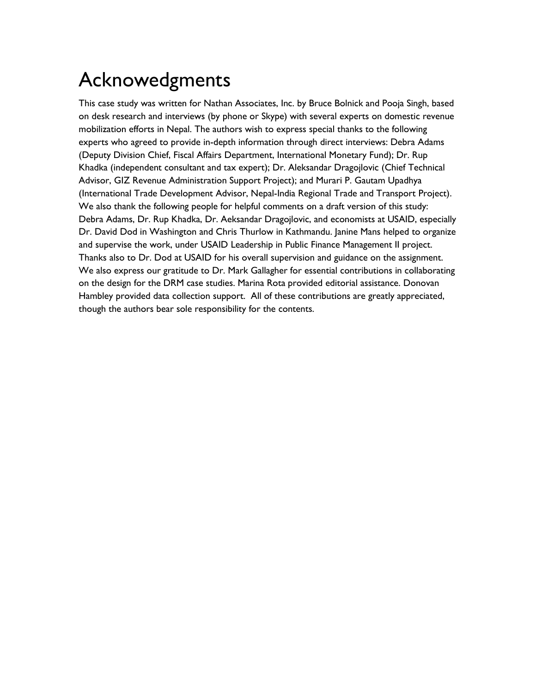### Acknowedgments

This case study was written for Nathan Associates, Inc. by Bruce Bolnick and Pooja Singh, based on desk research and interviews (by phone or Skype) with several experts on domestic revenue mobilization efforts in Nepal. The authors wish to express special thanks to the following experts who agreed to provide in-depth information through direct interviews: Debra Adams (Deputy Division Chief, Fiscal Affairs Department, International Monetary Fund); Dr. Rup Khadka (independent consultant and tax expert); Dr. Aleksandar Dragojlovic (Chief Technical Advisor, GIZ Revenue Administration Support Project); and Murari P. Gautam Upadhya (International Trade Development Advisor, Nepal-India Regional Trade and Transport Project). We also thank the following people for helpful comments on a draft version of this study: Debra Adams, Dr. Rup Khadka, Dr. Aeksandar Dragojlovic, and economists at USAID, especially Dr. David Dod in Washington and Chris Thurlow in Kathmandu. Janine Mans helped to organize and supervise the work, under USAID Leadership in Public Finance Management II project. Thanks also to Dr. Dod at USAID for his overall supervision and guidance on the assignment. We also express our gratitude to Dr. Mark Gallagher for essential contributions in collaborating on the design for the DRM case studies. Marina Rota provided editorial assistance. Donovan Hambley provided data collection support. All of these contributions are greatly appreciated, though the authors bear sole responsibility for the contents.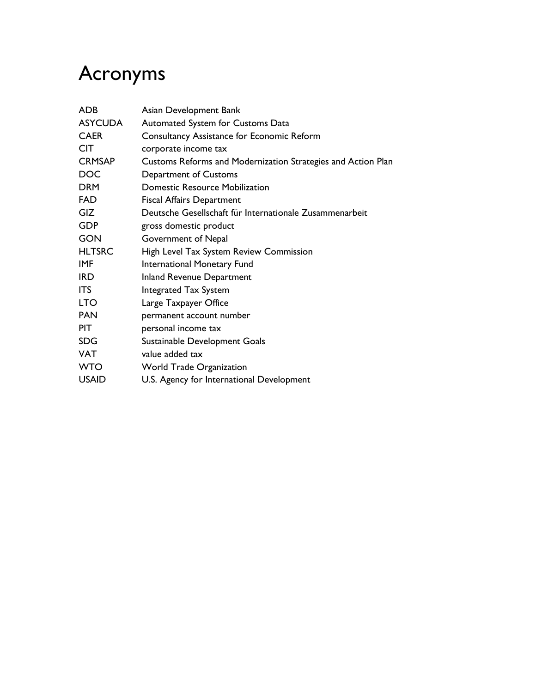## Acronyms

| <b>ASYCUDA</b><br>Automated System for Customs Data<br><b>CAER</b><br>Consultancy Assistance for Economic Reform<br><b>CIT</b><br>corporate income tax<br><b>CRMSAP</b><br>Customs Reforms and Modernization Strategies and Action Plan<br><b>DOC</b><br>Department of Customs<br><b>DRM</b><br><b>Domestic Resource Mobilization</b><br><b>FAD</b><br><b>Fiscal Affairs Department</b><br><b>GIZ</b><br>Deutsche Gesellschaft für Internationale Zusammenarbeit<br><b>GDP</b><br>gross domestic product<br><b>GON</b><br>Government of Nepal<br><b>HLTSRC</b><br>High Level Tax System Review Commission<br><b>IMF</b><br>International Monetary Fund<br><b>IRD</b><br><b>Inland Revenue Department</b><br><b>ITS</b><br><b>Integrated Tax System</b><br><b>LTO</b><br>Large Taxpayer Office<br><b>PAN</b><br>permanent account number<br><b>PIT</b><br>personal income tax<br><b>SDG</b><br>Sustainable Development Goals | ADB        | Asian Development Bank |
|-----------------------------------------------------------------------------------------------------------------------------------------------------------------------------------------------------------------------------------------------------------------------------------------------------------------------------------------------------------------------------------------------------------------------------------------------------------------------------------------------------------------------------------------------------------------------------------------------------------------------------------------------------------------------------------------------------------------------------------------------------------------------------------------------------------------------------------------------------------------------------------------------------------------------------|------------|------------------------|
|                                                                                                                                                                                                                                                                                                                                                                                                                                                                                                                                                                                                                                                                                                                                                                                                                                                                                                                             |            |                        |
|                                                                                                                                                                                                                                                                                                                                                                                                                                                                                                                                                                                                                                                                                                                                                                                                                                                                                                                             |            |                        |
|                                                                                                                                                                                                                                                                                                                                                                                                                                                                                                                                                                                                                                                                                                                                                                                                                                                                                                                             |            |                        |
|                                                                                                                                                                                                                                                                                                                                                                                                                                                                                                                                                                                                                                                                                                                                                                                                                                                                                                                             |            |                        |
|                                                                                                                                                                                                                                                                                                                                                                                                                                                                                                                                                                                                                                                                                                                                                                                                                                                                                                                             |            |                        |
|                                                                                                                                                                                                                                                                                                                                                                                                                                                                                                                                                                                                                                                                                                                                                                                                                                                                                                                             |            |                        |
|                                                                                                                                                                                                                                                                                                                                                                                                                                                                                                                                                                                                                                                                                                                                                                                                                                                                                                                             |            |                        |
|                                                                                                                                                                                                                                                                                                                                                                                                                                                                                                                                                                                                                                                                                                                                                                                                                                                                                                                             |            |                        |
|                                                                                                                                                                                                                                                                                                                                                                                                                                                                                                                                                                                                                                                                                                                                                                                                                                                                                                                             |            |                        |
|                                                                                                                                                                                                                                                                                                                                                                                                                                                                                                                                                                                                                                                                                                                                                                                                                                                                                                                             |            |                        |
|                                                                                                                                                                                                                                                                                                                                                                                                                                                                                                                                                                                                                                                                                                                                                                                                                                                                                                                             |            |                        |
|                                                                                                                                                                                                                                                                                                                                                                                                                                                                                                                                                                                                                                                                                                                                                                                                                                                                                                                             |            |                        |
|                                                                                                                                                                                                                                                                                                                                                                                                                                                                                                                                                                                                                                                                                                                                                                                                                                                                                                                             |            |                        |
|                                                                                                                                                                                                                                                                                                                                                                                                                                                                                                                                                                                                                                                                                                                                                                                                                                                                                                                             |            |                        |
|                                                                                                                                                                                                                                                                                                                                                                                                                                                                                                                                                                                                                                                                                                                                                                                                                                                                                                                             |            |                        |
|                                                                                                                                                                                                                                                                                                                                                                                                                                                                                                                                                                                                                                                                                                                                                                                                                                                                                                                             |            |                        |
|                                                                                                                                                                                                                                                                                                                                                                                                                                                                                                                                                                                                                                                                                                                                                                                                                                                                                                                             |            |                        |
|                                                                                                                                                                                                                                                                                                                                                                                                                                                                                                                                                                                                                                                                                                                                                                                                                                                                                                                             |            |                        |
|                                                                                                                                                                                                                                                                                                                                                                                                                                                                                                                                                                                                                                                                                                                                                                                                                                                                                                                             | <b>VAT</b> | value added tax        |
| <b>WTO</b><br><b>World Trade Organization</b>                                                                                                                                                                                                                                                                                                                                                                                                                                                                                                                                                                                                                                                                                                                                                                                                                                                                               |            |                        |
| <b>USAID</b><br>U.S. Agency for International Development                                                                                                                                                                                                                                                                                                                                                                                                                                                                                                                                                                                                                                                                                                                                                                                                                                                                   |            |                        |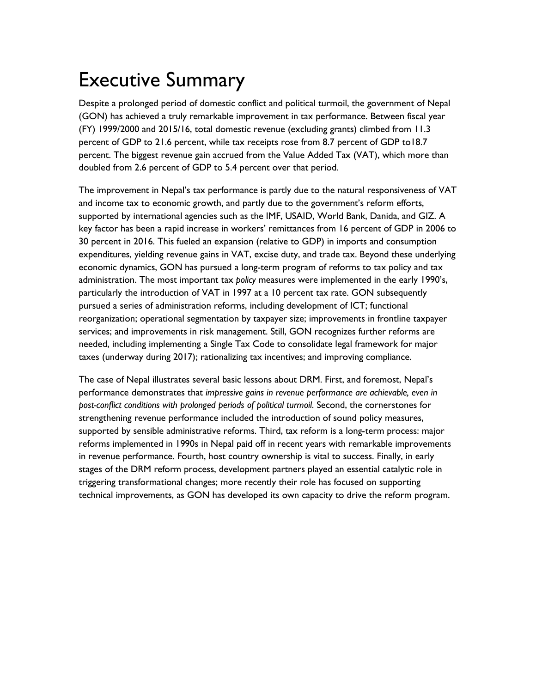### Executive Summary

Despite a prolonged period of domestic conflict and political turmoil, the government of Nepal (GON) has achieved a truly remarkable improvement in tax performance. Between fiscal year (FY) 1999/2000 and 2015/16, total domestic revenue (excluding grants) climbed from 11.3 percent of GDP to 21.6 percent, while tax receipts rose from 8.7 percent of GDP to18.7 percent. The biggest revenue gain accrued from the Value Added Tax (VAT), which more than doubled from 2.6 percent of GDP to 5.4 percent over that period.

The improvement in Nepal's tax performance is partly due to the natural responsiveness of VAT and income tax to economic growth, and partly due to the government's reform efforts, supported by international agencies such as the IMF, USAID, World Bank, Danida, and GIZ. A key factor has been a rapid increase in workers' remittances from 16 percent of GDP in 2006 to 30 percent in 2016. This fueled an expansion (relative to GDP) in imports and consumption expenditures, yielding revenue gains in VAT, excise duty, and trade tax. Beyond these underlying economic dynamics, GON has pursued a long-term program of reforms to tax policy and tax administration. The most important tax *policy* measures were implemented in the early 1990's, particularly the introduction of VAT in 1997 at a 10 percent tax rate. GON subsequently pursued a series of administration reforms, including development of ICT; functional reorganization; operational segmentation by taxpayer size; improvements in frontline taxpayer services; and improvements in risk management. Still, GON recognizes further reforms are needed, including implementing a Single Tax Code to consolidate legal framework for major taxes (underway during 2017); rationalizing tax incentives; and improving compliance.

The case of Nepal illustrates several basic lessons about DRM. First, and foremost, Nepal's performance demonstrates that *impressive gains in revenue performance are achievable, even in post-conflict conditions with prolonged periods of political turmoil*. Second, the cornerstones for strengthening revenue performance included the introduction of sound policy measures, supported by sensible administrative reforms. Third, tax reform is a long-term process: major reforms implemented in 1990s in Nepal paid off in recent years with remarkable improvements in revenue performance. Fourth, host country ownership is vital to success. Finally, in early stages of the DRM reform process, development partners played an essential catalytic role in triggering transformational changes; more recently their role has focused on supporting technical improvements, as GON has developed its own capacity to drive the reform program.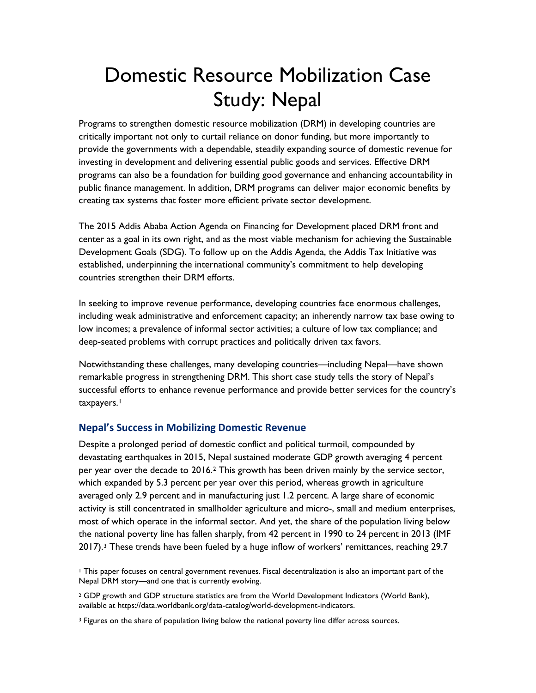## Domestic Resource Mobilization Case Study: Nepal

Programs to strengthen domestic resource mobilization (DRM) in developing countries are critically important not only to curtail reliance on donor funding, but more importantly to provide the governments with a dependable, steadily expanding source of domestic revenue for investing in development and delivering essential public goods and services. Effective DRM programs can also be a foundation for building good governance and enhancing accountability in public finance management. In addition, DRM programs can deliver major economic benefits by creating tax systems that foster more efficient private sector development.

The 2015 Addis Ababa Action Agenda on Financing for Development placed DRM front and center as a goal in its own right, and as the most viable mechanism for achieving the Sustainable Development Goals (SDG). To follow up on the Addis Agenda, the Addis Tax Initiative was established, underpinning the international community's commitment to help developing countries strengthen their DRM efforts.

In seeking to improve revenue performance, developing countries face enormous challenges, including weak administrative and enforcement capacity; an inherently narrow tax base owing to low incomes; a prevalence of informal sector activities; a culture of low tax compliance; and deep-seated problems with corrupt practices and politically driven tax favors.

Notwithstanding these challenges, many developing countries—including Nepal—have shown remarkable progress in strengthening DRM. This short case study tells the story of Nepal's successful efforts to enhance revenue performance and provide better services for the country's taxpayers.<sup>[1](#page-9-0)</sup>

### **Nepal's Success in Mobilizing Domestic Revenue**

Despite a prolonged period of domestic conflict and political turmoil, compounded by devastating earthquakes in 2015, Nepal sustained moderate GDP growth averaging 4 percent per year over the decade to 2016[.2](#page-9-1) This growth has been driven mainly by the service sector, which expanded by 5.3 percent per year over this period, whereas growth in agriculture averaged only 2.9 percent and in manufacturing just 1.2 percent. A large share of economic activity is still concentrated in smallholder agriculture and micro-, small and medium enterprises, most of which operate in the informal sector. And yet, the share of the population living below the national poverty line has fallen sharply, from 42 percent in 1990 to 24 percent in 2013 (IMF 2017)[.3](#page-9-2) These trends have been fueled by a huge inflow of workers' remittances, reaching 29.7

<span id="page-9-0"></span><sup>1</sup> This paper focuses on central government revenues. Fiscal decentralization is also an important part of the Nepal DRM story—and one that is currently evolving.  $\overline{a}$ 

<span id="page-9-1"></span><sup>&</sup>lt;sup>2</sup> GDP growth and GDP structure statistics are from the World Development Indicators (World Bank), available at https://data.worldbank.org/data-catalog/world-development-indicators.

<span id="page-9-2"></span><sup>&</sup>lt;sup>3</sup> Figures on the share of population living below the national poverty line differ across sources.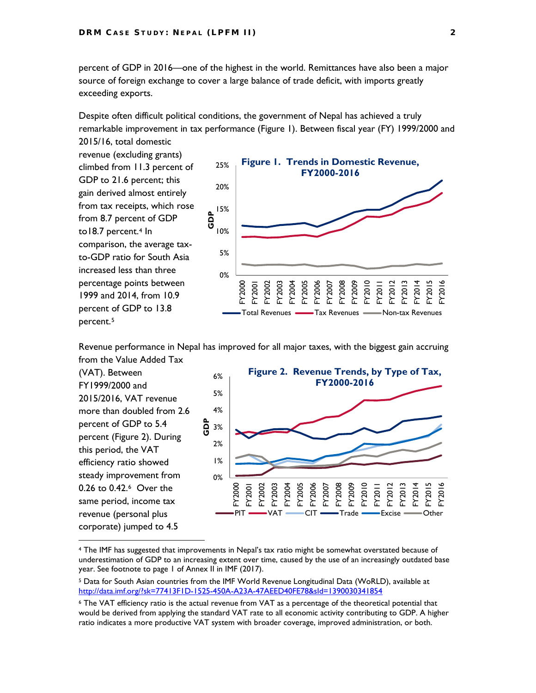percent of GDP in 2016—one of the highest in the world. Remittances have also been a major source of foreign exchange to cover a large balance of trade deficit, with imports greatly exceeding exports.

Despite often difficult political conditions, the government of Nepal has achieved a truly remarkable improvement in tax performance (Figure 1). Between fiscal year (FY) 1999/2000 and 2015/16, total domestic

revenue (excluding grants) climbed from 11.3 percent of GDP to 21.6 percent; this gain derived almost entirely from tax receipts, which rose from 8.7 percent of GDP to18.7 percent.<sup>[4](#page-10-0)</sup> In comparison, the average taxto-GDP ratio for South Asia increased less than three percentage points between 1999 and 2014, from 10.9 percent of GDP to 13.8 percent.[5](#page-10-1)

 $\overline{a}$ 



Revenue performance in Nepal has improved for all major taxes, with the biggest gain accruing from the Value Added Tax

(VAT). Between FY1999/2000 and 2015/2016, VAT revenue more than doubled from 2.6 percent of GDP to 5.4 percent (Figure 2). During this period, the VAT efficiency ratio showed steady improvement from 0.26 to 0.42.[6](#page-10-2) Over the same period, income tax revenue (personal plus corporate) jumped to 4.5 0% 1% 2% 3% 4% 5% 6% FY2000 FY2001 FY2002 FY2003 FY2004 FY2005 FY2006 FY2007 FY2008 FY2009 FY2010 FY2011 FY2012 FY2013 FY2014 FY<sub>20</sub> FY2016 **GDP Figure 2. Revenue Trends, by Type of Tax, FY2000-2016** PIT **- VAT**  $\sim$  CIT  $\sim$  Trade  $\sim$  Excise  $\sim$  Other

<span id="page-10-0"></span><sup>4</sup> The IMF has suggested that improvements in Nepal's tax ratio might be somewhat overstated because of underestimation of GDP to an increasing extent over time, caused by the use of an increasingly outdated base year. See footnote to page 1 of Annex II in IMF (2017).

<span id="page-10-1"></span><sup>5</sup> Data for South Asian countries from the IMF World Revenue Longitudinal Data (WoRLD), available at <http://data.imf.org/?sk=77413F1D-1525-450A-A23A-47AEED40FE78&sId=1390030341854>

<span id="page-10-2"></span><sup>6</sup> The VAT efficiency ratio is the actual revenue from VAT as a percentage of the theoretical potential that would be derived from applying the standard VAT rate to all economic activity contributing to GDP. A higher ratio indicates a more productive VAT system with broader coverage, improved administration, or both.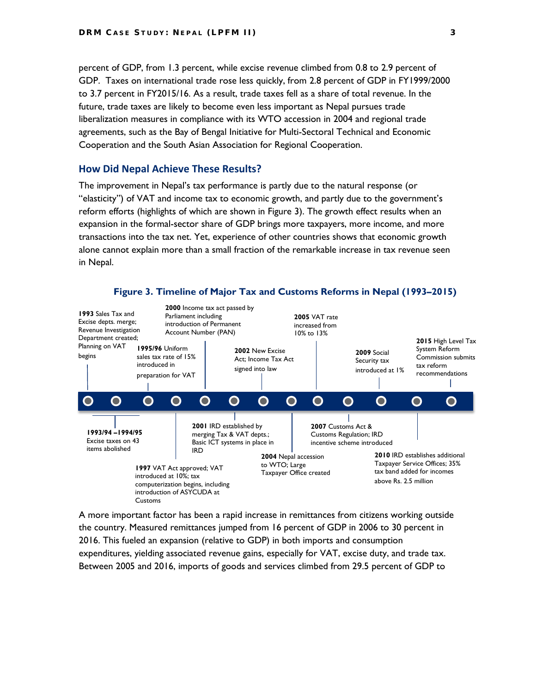percent of GDP, from 1.3 percent, while excise revenue climbed from 0.8 to 2.9 percent of GDP. Taxes on international trade rose less quickly, from 2.8 percent of GDP in FY1999/2000 to 3.7 percent in FY2015/16. As a result, trade taxes fell as a share of total revenue. In the future, trade taxes are likely to become even less important as Nepal pursues trade liberalization measures in compliance with its WTO accession in 2004 and regional trade agreements, such as the Bay of Bengal Initiative for Multi-Sectoral Technical and Economic Cooperation and the South Asian Association for Regional Cooperation.

#### **How Did Nepal Achieve These Results?**

The improvement in Nepal's tax performance is partly due to the natural response (or "elasticity") of VAT and income tax to economic growth, and partly due to the government's reform efforts (highlights of which are shown in Figure 3). The growth effect results when an expansion in the formal-sector share of GDP brings more taxpayers, more income, and more transactions into the tax net. Yet, experience of other countries shows that economic growth alone cannot explain more than a small fraction of the remarkable increase in tax revenue seen in Nepal.

![](_page_11_Figure_4.jpeg)

A more important factor has been a rapid increase in remittances from citizens working outside the country. Measured remittances jumped from 16 percent of GDP in 2006 to 30 percent in 2016. This fueled an expansion (relative to GDP) in both imports and consumption expenditures, yielding associated revenue gains, especially for VAT, excise duty, and trade tax. Between 2005 and 2016, imports of goods and services climbed from 29.5 percent of GDP to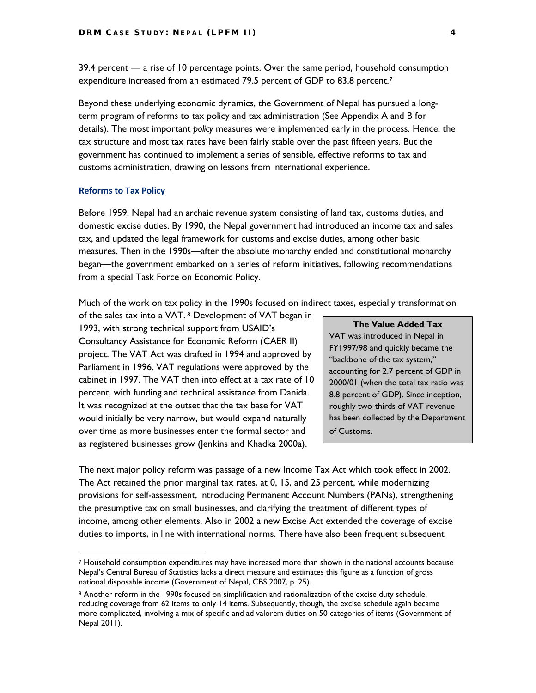39.4 percent — a rise of 10 percentage points. Over the same period, household consumption expenditure increased from an estimated [7](#page-12-0)9.5 percent of GDP to 83.8 percent.<sup>7</sup>

Beyond these underlying economic dynamics, the Government of Nepal has pursued a longterm program of reforms to tax policy and tax administration (See Appendix A and B for details). The most important *policy* measures were implemented early in the process. Hence, the tax structure and most tax rates have been fairly stable over the past fifteen years. But the government has continued to implement a series of sensible, effective reforms to tax and customs administration, drawing on lessons from international experience.

#### **Reforms to Tax Policy**

 $\ddot{\phantom{a}}$ 

Before 1959, Nepal had an archaic revenue system consisting of land tax, customs duties, and domestic excise duties. By 1990, the Nepal government had introduced an income tax and sales tax, and updated the legal framework for customs and excise duties, among other basic measures. Then in the 1990s—after the absolute monarchy ended and constitutional monarchy began—the government embarked on a series of reform initiatives, following recommendations from a special Task Force on Economic Policy.

Much of the work on tax policy in the 1990s focused on indirect taxes, especially transformation

of the sales tax into a VAT. [8](#page-12-1) Development of VAT began in 1993, with strong technical support from USAID's Consultancy Assistance for Economic Reform (CAER II) project. The VAT Act was drafted in 1994 and approved by Parliament in 1996. VAT regulations were approved by the cabinet in 1997. The VAT then into effect at a tax rate of 10 percent, with funding and technical assistance from Danida. It was recognized at the outset that the tax base for VAT would initially be very narrow, but would expand naturally over time as more businesses enter the formal sector and as registered businesses grow (Jenkins and Khadka 2000a).

#### **The Value Added Tax**

VAT was introduced in Nepal in FY1997/98 and quickly became the "backbone of the tax system," accounting for 2.7 percent of GDP in 2000/01 (when the total tax ratio was 8.8 percent of GDP). Since inception, roughly two-thirds of VAT revenue has been collected by the Department of Customs.

The next major policy reform was passage of a new Income Tax Act which took effect in 2002. The Act retained the prior marginal tax rates, at 0, 15, and 25 percent, while modernizing provisions for self-assessment, introducing Permanent Account Numbers (PANs), strengthening the presumptive tax on small businesses, and clarifying the treatment of different types of income, among other elements. Also in 2002 a new Excise Act extended the coverage of excise duties to imports, in line with international norms. There have also been frequent subsequent

<span id="page-12-0"></span><sup>7</sup> Household consumption expenditures may have increased more than shown in the national accounts because Nepal's Central Bureau of Statistics lacks a direct measure and estimates this figure as a function of gross national disposable income (Government of Nepal, CBS 2007, p. 25).

<span id="page-12-1"></span><sup>8</sup> Another reform in the 1990s focused on simplification and rationalization of the excise duty schedule, reducing coverage from 62 items to only 14 items. Subsequently, though, the excise schedule again became more complicated, involving a mix of specific and ad valorem duties on 50 categories of items (Government of Nepal 2011).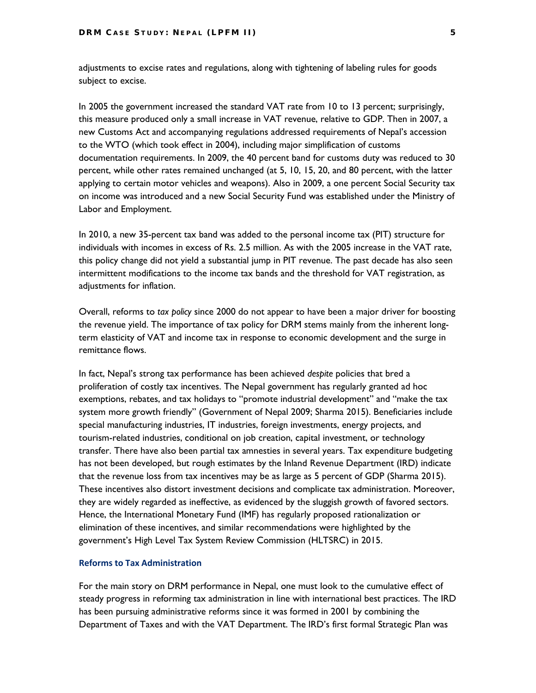adjustments to excise rates and regulations, along with tightening of labeling rules for goods subject to excise.

In 2005 the government increased the standard VAT rate from 10 to 13 percent; surprisingly, this measure produced only a small increase in VAT revenue, relative to GDP. Then in 2007, a new Customs Act and accompanying regulations addressed requirements of Nepal's accession to the WTO (which took effect in 2004), including major simplification of customs documentation requirements. In 2009, the 40 percent band for customs duty was reduced to 30 percent, while other rates remained unchanged (at 5, 10, 15, 20, and 80 percent, with the latter applying to certain motor vehicles and weapons). Also in 2009, a one percent Social Security tax on income was introduced and a new Social Security Fund was established under the Ministry of Labor and Employment.

In 2010, a new 35-percent tax band was added to the personal income tax (PIT) structure for individuals with incomes in excess of Rs. 2.5 million. As with the 2005 increase in the VAT rate, this policy change did not yield a substantial jump in PIT revenue. The past decade has also seen intermittent modifications to the income tax bands and the threshold for VAT registration, as adjustments for inflation.

Overall, reforms to *tax policy* since 2000 do not appear to have been a major driver for boosting the revenue yield. The importance of tax policy for DRM stems mainly from the inherent longterm elasticity of VAT and income tax in response to economic development and the surge in remittance flows.

In fact, Nepal's strong tax performance has been achieved *despite* policies that bred a proliferation of costly tax incentives. The Nepal government has regularly granted ad hoc exemptions, rebates, and tax holidays to "promote industrial development" and "make the tax system more growth friendly" (Government of Nepal 2009; Sharma 2015). Beneficiaries include special manufacturing industries, IT industries, foreign investments, energy projects, and tourism-related industries, conditional on job creation, capital investment, or technology transfer. There have also been partial tax amnesties in several years. Tax expenditure budgeting has not been developed, but rough estimates by the Inland Revenue Department (IRD) indicate that the revenue loss from tax incentives may be as large as 5 percent of GDP (Sharma 2015). These incentives also distort investment decisions and complicate tax administration. Moreover, they are widely regarded as ineffective, as evidenced by the sluggish growth of favored sectors. Hence, the International Monetary Fund (IMF) has regularly proposed rationalization or elimination of these incentives, and similar recommendations were highlighted by the government's High Level Tax System Review Commission (HLTSRC) in 2015.

#### **Reforms to Tax Administration**

For the main story on DRM performance in Nepal, one must look to the cumulative effect of steady progress in reforming tax administration in line with international best practices. The IRD has been pursuing administrative reforms since it was formed in 2001 by combining the Department of Taxes and with the VAT Department. The IRD's first formal Strategic Plan was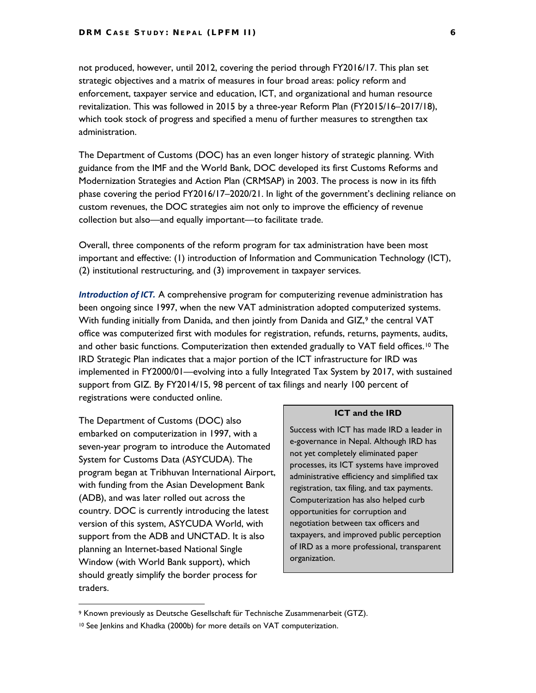not produced, however, until 2012, covering the period through FY2016/17. This plan set strategic objectives and a matrix of measures in four broad areas: policy reform and enforcement, taxpayer service and education, ICT, and organizational and human resource revitalization. This was followed in 2015 by a three-year Reform Plan (FY2015/16–2017/18), which took stock of progress and specified a menu of further measures to strengthen tax administration.

The Department of Customs (DOC) has an even longer history of strategic planning. With guidance from the IMF and the World Bank, DOC developed its first Customs Reforms and Modernization Strategies and Action Plan (CRMSAP) in 2003. The process is now in its fifth phase covering the period FY2016/17–2020/21. In light of the government's declining reliance on custom revenues, the DOC strategies aim not only to improve the efficiency of revenue collection but also—and equally important—to facilitate trade.

Overall, three components of the reform program for tax administration have been most important and effective: (1) introduction of Information and Communication Technology (ICT), (2) institutional restructuring, and (3) improvement in taxpayer services.

*Introduction of ICT.* A comprehensive program for computerizing revenue administration has been ongoing since 1997, when the new VAT administration adopted computerized systems. With funding initially from Danida, and then jointly from Danida and GIZ, $9$  the central VAT office was computerized first with modules for registration, refunds, returns, payments, audits, and other basic functions. Computerization then extended gradually to VAT field offices.<sup>[10](#page-14-1)</sup> The IRD Strategic Plan indicates that a major portion of the ICT infrastructure for IRD was implemented in FY2000/01—evolving into a fully Integrated Tax System by 2017, with sustained support from GIZ. By FY2014/15, 98 percent of tax filings and nearly 100 percent of registrations were conducted online.

The Department of Customs (DOC) also embarked on computerization in 1997, with a seven-year program to introduce the Automated System for Customs Data (ASYCUDA). The program began at Tribhuvan International Airport, with funding from the Asian Development Bank (ADB), and was later rolled out across the country. DOC is currently introducing the latest version of this system, ASYCUDA World, with support from the ADB and UNCTAD. It is also planning an Internet-based National Single Window (with World Bank support), which should greatly simplify the border process for traders.

 $\overline{a}$ 

#### **ICT and the IRD**

Success with ICT has made IRD a leader in e-governance in Nepal. Although IRD has not yet completely eliminated paper processes, its ICT systems have improved administrative efficiency and simplified tax registration, tax filing, and tax payments. Computerization has also helped curb opportunities for corruption and negotiation between tax officers and taxpayers, and improved public perception of IRD as a more professional, transparent organization.

<span id="page-14-0"></span><sup>9</sup> Known previously as Deutsche Gesellschaft für Technische Zusammenarbeit (GTZ).

<span id="page-14-1"></span><sup>&</sup>lt;sup>10</sup> See Jenkins and Khadka (2000b) for more details on VAT computerization.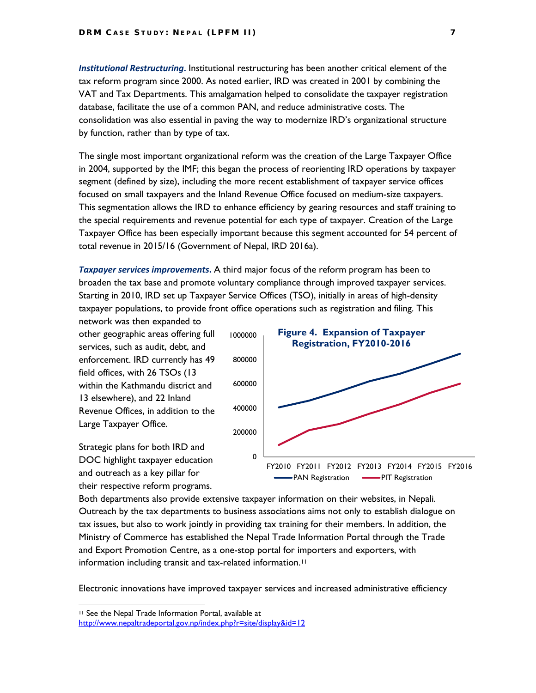*Institutional Restructuring***.** Institutional restructuring has been another critical element of the tax reform program since 2000. As noted earlier, IRD was created in 2001 by combining the VAT and Tax Departments. This amalgamation helped to consolidate the taxpayer registration database, facilitate the use of a common PAN, and reduce administrative costs. The consolidation was also essential in paving the way to modernize IRD's organizational structure by function, rather than by type of tax.

The single most important organizational reform was the creation of the Large Taxpayer Office in 2004, supported by the IMF; this began the process of reorienting IRD operations by taxpayer segment (defined by size), including the more recent establishment of taxpayer service offices focused on small taxpayers and the Inland Revenue Office focused on medium-size taxpayers. This segmentation allows the IRD to enhance efficiency by gearing resources and staff training to the special requirements and revenue potential for each type of taxpayer. Creation of the Large Taxpayer Office has been especially important because this segment accounted for 54 percent of total revenue in 2015/16 (Government of Nepal, IRD 2016a).

*Taxpayer services improvements***.** A third major focus of the reform program has been to broaden the tax base and promote voluntary compliance through improved taxpayer services. Starting in 2010, IRD set up Taxpayer Service Offices (TSO), initially in areas of high-density taxpayer populations, to provide front office operations such as registration and filing. This

network was then expanded to other geographic areas offering full services, such as audit, debt, and enforcement. IRD currently has 49 field offices, with 26 TSOs (13 within the Kathmandu district and 13 elsewhere), and 22 Inland Revenue Offices, in addition to the Large Taxpayer Office.

Strategic plans for both IRD and DOC highlight taxpayer education and outreach as a key pillar for their respective reform programs.

![](_page_15_Figure_6.jpeg)

Both departments also provide extensive taxpayer information on their websites, in Nepali. Outreach by the tax departments to business associations aims not only to establish dialogue on tax issues, but also to work jointly in providing tax training for their members. In addition, the Ministry of Commerce has established the Nepal Trade Information Portal through the Trade and Export Promotion Centre, as a one-stop portal for importers and exporters, with information including transit and tax-related information.<sup>[11](#page-15-0)</sup>

Electronic innovations have improved taxpayer services and increased administrative efficiency

 $\overline{a}$ 

<sup>11</sup> See the Nepal Trade Information Portal, available at

<span id="page-15-0"></span><http://www.nepaltradeportal.gov.np/index.php?r=site/display&id=12>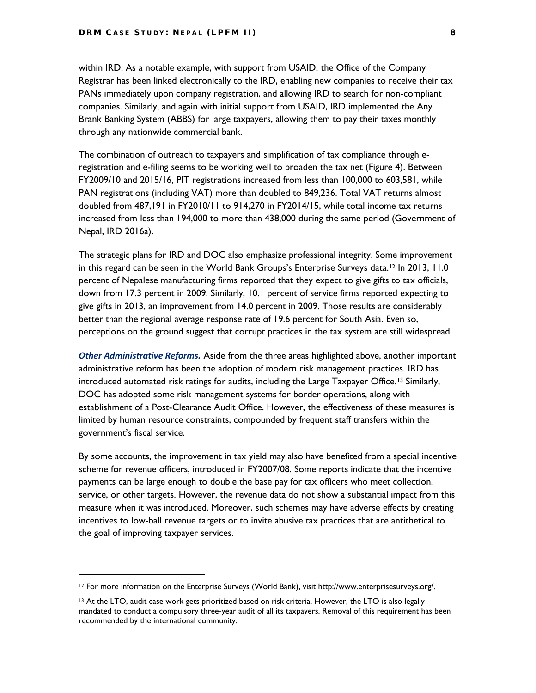within IRD. As a notable example, with support from USAID, the Office of the Company Registrar has been linked electronically to the IRD, enabling new companies to receive their tax PANs immediately upon company registration, and allowing IRD to search for non-compliant companies. Similarly, and again with initial support from USAID, IRD implemented the Any Brank Banking System (ABBS) for large taxpayers, allowing them to pay their taxes monthly through any nationwide commercial bank.

The combination of outreach to taxpayers and simplification of tax compliance through eregistration and e-filing seems to be working well to broaden the tax net (Figure 4). Between FY2009/10 and 2015/16, PIT registrations increased from less than 100,000 to 603,581, while PAN registrations (including VAT) more than doubled to 849,236. Total VAT returns almost doubled from 487,191 in FY2010/11 to 914,270 in FY2014/15, while total income tax returns increased from less than 194,000 to more than 438,000 during the same period (Government of Nepal, IRD 2016a).

The strategic plans for IRD and DOC also emphasize professional integrity. Some improvement in this regard can be seen in the World Bank Groups's Enterprise Surveys data.<sup>[12](#page-16-0)</sup> In 2013, 11.0 percent of Nepalese manufacturing firms reported that they expect to give gifts to tax officials, down from 17.3 percent in 2009. Similarly, 10.1 percent of service firms reported expecting to give gifts in 2013, an improvement from 14.0 percent in 2009. Those results are considerably better than the regional average response rate of 19.6 percent for South Asia. Even so, perceptions on the ground suggest that corrupt practices in the tax system are still widespread.

*Other Administrative Reforms.* Aside from the three areas highlighted above, another important administrative reform has been the adoption of modern risk management practices. IRD has introduced automated risk ratings for audits, including the Large Taxpayer Office.[13](#page-16-1) Similarly, DOC has adopted some risk management systems for border operations, along with establishment of a Post-Clearance Audit Office. However, the effectiveness of these measures is limited by human resource constraints, compounded by frequent staff transfers within the government's fiscal service.

By some accounts, the improvement in tax yield may also have benefited from a special incentive scheme for revenue officers, introduced in FY2007/08. Some reports indicate that the incentive payments can be large enough to double the base pay for tax officers who meet collection, service, or other targets. However, the revenue data do not show a substantial impact from this measure when it was introduced. Moreover, such schemes may have adverse effects by creating incentives to low-ball revenue targets or to invite abusive tax practices that are antithetical to the goal of improving taxpayer services.

 $\ddot{\phantom{a}}$ 

<span id="page-16-0"></span><sup>12</sup> For more information on the Enterprise Surveys (World Bank), visit http://www.enterprisesurveys.org/.

<span id="page-16-1"></span><sup>&</sup>lt;sup>13</sup> At the LTO, audit case work gets prioritized based on risk criteria. However, the LTO is also legally mandated to conduct a compulsory three-year audit of all its taxpayers. Removal of this requirement has been recommended by the international community.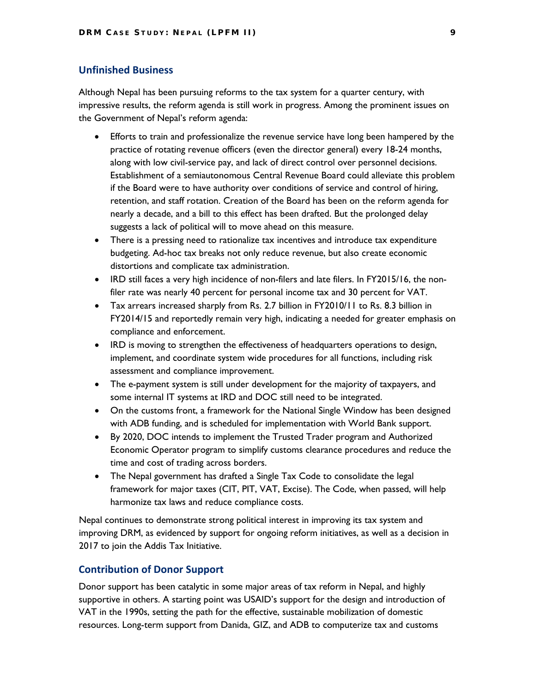#### **Unfinished Business**

Although Nepal has been pursuing reforms to the tax system for a quarter century, with impressive results, the reform agenda is still work in progress. Among the prominent issues on the Government of Nepal's reform agenda:

- Efforts to train and professionalize the revenue service have long been hampered by the practice of rotating revenue officers (even the director general) every 18-24 months, along with low civil-service pay, and lack of direct control over personnel decisions. Establishment of a semiautonomous Central Revenue Board could alleviate this problem if the Board were to have authority over conditions of service and control of hiring, retention, and staff rotation. Creation of the Board has been on the reform agenda for nearly a decade, and a bill to this effect has been drafted. But the prolonged delay suggests a lack of political will to move ahead on this measure.
- There is a pressing need to rationalize tax incentives and introduce tax expenditure budgeting. Ad-hoc tax breaks not only reduce revenue, but also create economic distortions and complicate tax administration.
- IRD still faces a very high incidence of non-filers and late filers. In FY2015/16, the nonfiler rate was nearly 40 percent for personal income tax and 30 percent for VAT.
- Tax arrears increased sharply from Rs. 2.7 billion in FY2010/11 to Rs. 8.3 billion in FY2014/15 and reportedly remain very high, indicating a needed for greater emphasis on compliance and enforcement.
- IRD is moving to strengthen the effectiveness of headquarters operations to design, implement, and coordinate system wide procedures for all functions, including risk assessment and compliance improvement.
- The e-payment system is still under development for the majority of taxpayers, and some internal IT systems at IRD and DOC still need to be integrated.
- On the customs front, a framework for the National Single Window has been designed with ADB funding, and is scheduled for implementation with World Bank support.
- By 2020, DOC intends to implement the Trusted Trader program and Authorized Economic Operator program to simplify customs clearance procedures and reduce the time and cost of trading across borders.
- The Nepal government has drafted a Single Tax Code to consolidate the legal framework for major taxes (CIT, PIT, VAT, Excise). The Code, when passed, will help harmonize tax laws and reduce compliance costs.

Nepal continues to demonstrate strong political interest in improving its tax system and improving DRM, as evidenced by support for ongoing reform initiatives, as well as a decision in 2017 to join the Addis Tax Initiative.

#### **Contribution of Donor Support**

Donor support has been catalytic in some major areas of tax reform in Nepal, and highly supportive in others. A starting point was USAID's support for the design and introduction of VAT in the 1990s, setting the path for the effective, sustainable mobilization of domestic resources. Long-term support from Danida, GIZ, and ADB to computerize tax and customs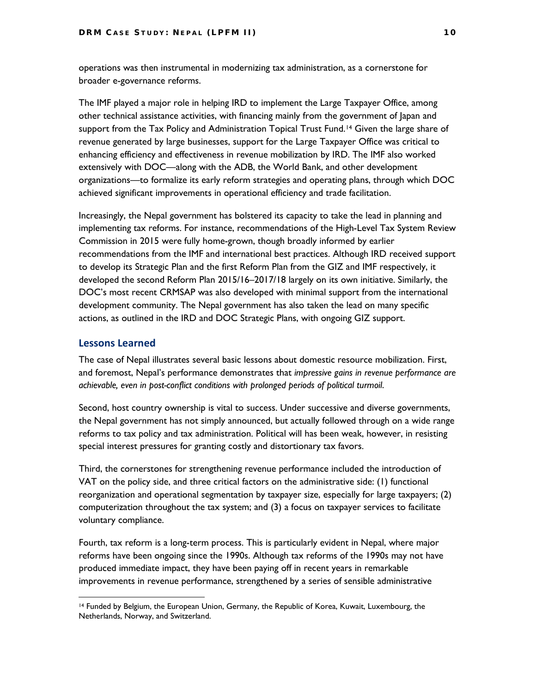operations was then instrumental in modernizing tax administration, as a cornerstone for broader e-governance reforms.

The IMF played a major role in helping IRD to implement the Large Taxpayer Office, among other technical assistance activities, with financing mainly from the government of Japan and support from the Tax Policy and Administration Topical Trust Fund.<sup>[14](#page-18-0)</sup> Given the large share of revenue generated by large businesses, support for the Large Taxpayer Office was critical to enhancing efficiency and effectiveness in revenue mobilization by IRD. The IMF also worked extensively with DOC—along with the ADB, the World Bank, and other development organizations—to formalize its early reform strategies and operating plans, through which DOC achieved significant improvements in operational efficiency and trade facilitation.

Increasingly, the Nepal government has bolstered its capacity to take the lead in planning and implementing tax reforms. For instance, recommendations of the High-Level Tax System Review Commission in 2015 were fully home-grown, though broadly informed by earlier recommendations from the IMF and international best practices. Although IRD received support to develop its Strategic Plan and the first Reform Plan from the GIZ and IMF respectively, it developed the second Reform Plan 2015/16–2017/18 largely on its own initiative. Similarly, the DOC's most recent CRMSAP was also developed with minimal support from the international development community. The Nepal government has also taken the lead on many specific actions, as outlined in the IRD and DOC Strategic Plans, with ongoing GIZ support.

#### **Lessons Learned**

 $\overline{a}$ 

The case of Nepal illustrates several basic lessons about domestic resource mobilization. First, and foremost, Nepal's performance demonstrates that *impressive gains in revenue performance are achievable, even in post-conflict conditions with prolonged periods of political turmoil*.

Second, host country ownership is vital to success. Under successive and diverse governments, the Nepal government has not simply announced, but actually followed through on a wide range reforms to tax policy and tax administration. Political will has been weak, however, in resisting special interest pressures for granting costly and distortionary tax favors.

Third, the cornerstones for strengthening revenue performance included the introduction of VAT on the policy side, and three critical factors on the administrative side: (1) functional reorganization and operational segmentation by taxpayer size, especially for large taxpayers; (2) computerization throughout the tax system; and (3) a focus on taxpayer services to facilitate voluntary compliance.

Fourth, tax reform is a long-term process. This is particularly evident in Nepal, where major reforms have been ongoing since the 1990s. Although tax reforms of the 1990s may not have produced immediate impact, they have been paying off in recent years in remarkable improvements in revenue performance, strengthened by a series of sensible administrative

<span id="page-18-0"></span><sup>14</sup> Funded by Belgium, the European Union, Germany, the Republic of Korea, Kuwait, Luxembourg, the Netherlands, Norway, and Switzerland.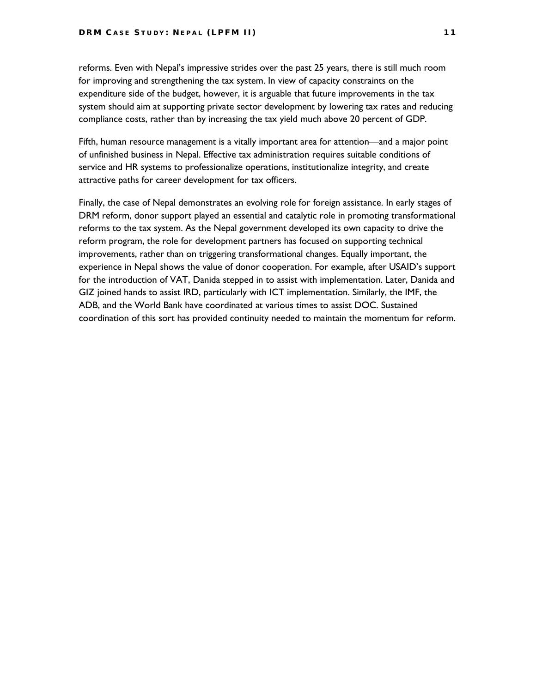reforms. Even with Nepal's impressive strides over the past 25 years, there is still much room for improving and strengthening the tax system. In view of capacity constraints on the expenditure side of the budget, however, it is arguable that future improvements in the tax system should aim at supporting private sector development by lowering tax rates and reducing compliance costs, rather than by increasing the tax yield much above 20 percent of GDP.

Fifth, human resource management is a vitally important area for attention—and a major point of unfinished business in Nepal. Effective tax administration requires suitable conditions of service and HR systems to professionalize operations, institutionalize integrity, and create attractive paths for career development for tax officers.

Finally, the case of Nepal demonstrates an evolving role for foreign assistance. In early stages of DRM reform, donor support played an essential and catalytic role in promoting transformational reforms to the tax system. As the Nepal government developed its own capacity to drive the reform program, the role for development partners has focused on supporting technical improvements, rather than on triggering transformational changes. Equally important, the experience in Nepal shows the value of donor cooperation. For example, after USAID's support for the introduction of VAT, Danida stepped in to assist with implementation. Later, Danida and GIZ joined hands to assist IRD, particularly with ICT implementation. Similarly, the IMF, the ADB, and the World Bank have coordinated at various times to assist DOC. Sustained coordination of this sort has provided continuity needed to maintain the momentum for reform.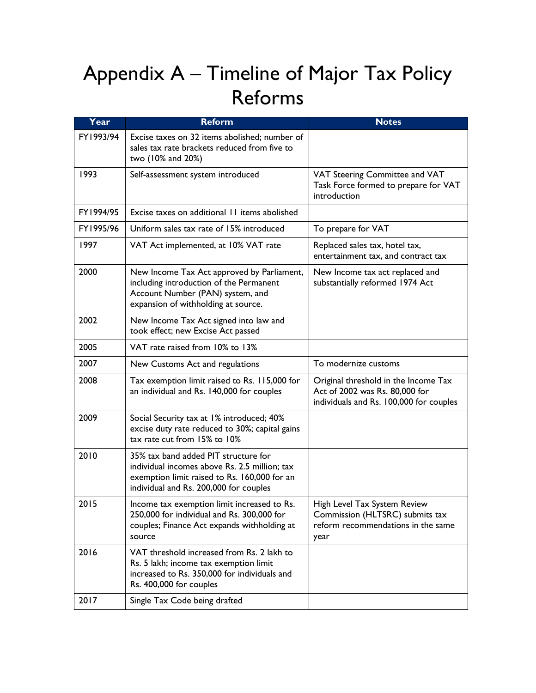## Appendix A – Timeline of Major Tax Policy Reforms

| Year      | <b>Reform</b>                                                                                                                                                                   | <b>Notes</b>                                                                                                      |
|-----------|---------------------------------------------------------------------------------------------------------------------------------------------------------------------------------|-------------------------------------------------------------------------------------------------------------------|
| FY1993/94 | Excise taxes on 32 items abolished; number of<br>sales tax rate brackets reduced from five to<br>two (10% and 20%)                                                              |                                                                                                                   |
| 1993      | Self-assessment system introduced                                                                                                                                               | VAT Steering Committee and VAT<br>Task Force formed to prepare for VAT<br>introduction                            |
| FY1994/95 | Excise taxes on additional 11 items abolished                                                                                                                                   |                                                                                                                   |
| FY1995/96 | Uniform sales tax rate of 15% introduced                                                                                                                                        | To prepare for VAT                                                                                                |
| 1997      | VAT Act implemented, at 10% VAT rate                                                                                                                                            | Replaced sales tax, hotel tax,<br>entertainment tax, and contract tax                                             |
| 2000      | New Income Tax Act approved by Parliament,<br>including introduction of the Permanent<br>Account Number (PAN) system, and<br>expansion of withholding at source.                | New Income tax act replaced and<br>substantially reformed 1974 Act                                                |
| 2002      | New Income Tax Act signed into law and<br>took effect; new Excise Act passed                                                                                                    |                                                                                                                   |
| 2005      | VAT rate raised from 10% to 13%                                                                                                                                                 |                                                                                                                   |
| 2007      | New Customs Act and regulations                                                                                                                                                 | To modernize customs                                                                                              |
| 2008      | Tax exemption limit raised to Rs. 115,000 for<br>an individual and Rs. 140,000 for couples                                                                                      | Original threshold in the Income Tax<br>Act of 2002 was Rs. 80,000 for<br>individuals and Rs. 100,000 for couples |
| 2009      | Social Security tax at 1% introduced; 40%<br>excise duty rate reduced to 30%; capital gains<br>tax rate cut from 15% to 10%                                                     |                                                                                                                   |
| 2010      | 35% tax band added PIT structure for<br>individual incomes above Rs. 2.5 million; tax<br>exemption limit raised to Rs. 160,000 for an<br>individual and Rs. 200,000 for couples |                                                                                                                   |
| 2015      | Income tax exemption limit increased to Rs.<br>250,000 for individual and Rs. 300,000 for<br>couples; Finance Act expands withholding at<br>source                              | High Level Tax System Review<br>Commission (HLTSRC) submits tax<br>reform recommendations in the same<br>year     |
| 2016      | VAT threshold increased from Rs. 2 lakh to<br>Rs. 5 lakh; income tax exemption limit<br>increased to Rs. 350,000 for individuals and<br>Rs. 400,000 for couples                 |                                                                                                                   |
| 2017      | Single Tax Code being drafted                                                                                                                                                   |                                                                                                                   |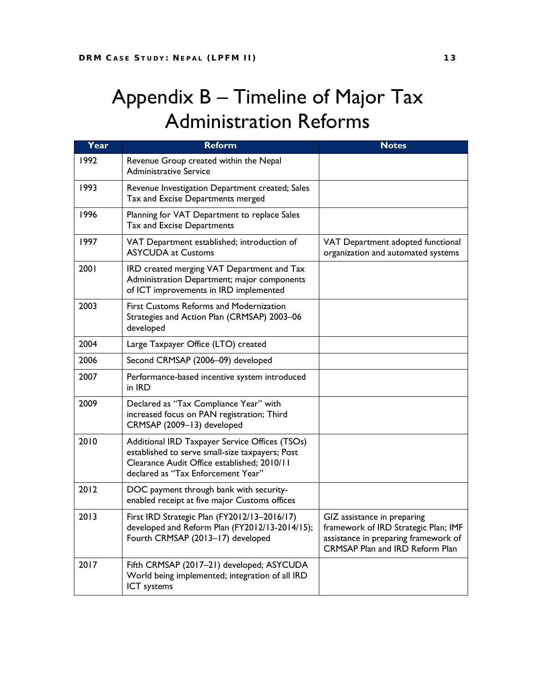### Appendix B – Timeline of Major Tax Administration Reforms

| Year | <b>Reform</b>                                                                                                                                                                          | <b>Notes</b>                                                                                                                                          |
|------|----------------------------------------------------------------------------------------------------------------------------------------------------------------------------------------|-------------------------------------------------------------------------------------------------------------------------------------------------------|
| 1992 | Revenue Group created within the Nepal<br><b>Administrative Service</b>                                                                                                                |                                                                                                                                                       |
| 1993 | Revenue Investigation Department created; Sales<br>Tax and Excise Departments merged                                                                                                   |                                                                                                                                                       |
| 1996 | Planning for VAT Department to replace Sales<br>Tax and Excise Departments                                                                                                             |                                                                                                                                                       |
| 1997 | VAT Department established; introduction of<br><b>ASYCUDA at Customs</b>                                                                                                               | VAT Department adopted functional<br>organization and automated systems                                                                               |
| 2001 | IRD created merging VAT Department and Tax<br>Administration Department; major components<br>of ICT improvements in IRD implemented                                                    |                                                                                                                                                       |
| 2003 | <b>First Customs Reforms and Modernization</b><br>Strategies and Action Plan (CRMSAP) 2003-06<br>developed                                                                             |                                                                                                                                                       |
| 2004 | Large Taxpayer Office (LTO) created                                                                                                                                                    |                                                                                                                                                       |
| 2006 | Second CRMSAP (2006-09) developed                                                                                                                                                      |                                                                                                                                                       |
| 2007 | Performance-based incentive system introduced<br>in IRD                                                                                                                                |                                                                                                                                                       |
| 2009 | Declared as "Tax Compliance Year" with<br>increased focus on PAN registration; Third<br>CRMSAP (2009-13) developed                                                                     |                                                                                                                                                       |
| 2010 | Additional IRD Taxpayer Service Offices (TSOs)<br>established to serve small-size taxpayers; Post<br>Clearance Audit Office established; 2010/11<br>declared as "Tax Enforcement Year" |                                                                                                                                                       |
| 2012 | DOC payment through bank with security-<br>enabled receipt at five major Customs offices                                                                                               |                                                                                                                                                       |
| 2013 | First IRD Strategic Plan (FY2012/13-2016/17)<br>developed and Reform Plan (FY2012/13-2014/15);<br>Fourth CRMSAP (2013-17) developed                                                    | GIZ assistance in preparing<br>framework of IRD Strategic Plan; IMF<br>assistance in preparing framework of<br><b>CRMSAP Plan and IRD Reform Plan</b> |
| 2017 | Fifth CRMSAP (2017-21) developed; ASYCUDA<br>World being implemented; integration of all IRD<br>ICT systems                                                                            |                                                                                                                                                       |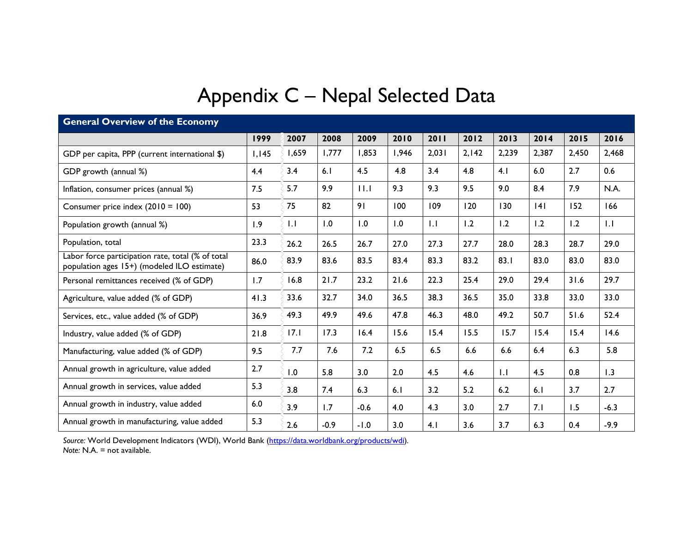## Appendix C – Nepal Selected Data

| <b>General Overview of the Economy</b>                                                           |       |       |        |        |       |       |       |       |       |       |        |  |  |
|--------------------------------------------------------------------------------------------------|-------|-------|--------|--------|-------|-------|-------|-------|-------|-------|--------|--|--|
|                                                                                                  | 1999  | 2007  | 2008   | 2009   | 2010  | 2011  | 2012  | 2013  | 2014  | 2015  | 2016   |  |  |
| GDP per capita, PPP (current international \$)                                                   | 1,145 | 1,659 | 1,777  | 1,853  | 1,946 | 2,031 | 2,142 | 2,239 | 2,387 | 2,450 | 2,468  |  |  |
| GDP growth (annual %)                                                                            | 4.4   | 3.4   | 6.1    | 4.5    | 4.8   | 3.4   | 4.8   | 4.1   | 6.0   | 2.7   | 0.6    |  |  |
| Inflation, consumer prices (annual %)                                                            | 7.5   | 5.7   | 9.9    | 11.1   | 9.3   | 9.3   | 9.5   | 9.0   | 8.4   | 7.9   | N.A.   |  |  |
| Consumer price index (2010 = 100)                                                                | 53    | 75    | 82     | 91     | 100   | 109   | 120   | 130   | 4     | 152   | 166    |  |  |
| Population growth (annual %)                                                                     | 1.9   | 1.1   | 1.0    | 1.0    | 0.1   | 1.1   | 1.2   | 1.2   | 1.2   | 1.2   | 1.1    |  |  |
| Population, total                                                                                | 23.3  | 26.2  | 26.5   | 26.7   | 27.0  | 27.3  | 27.7  | 28.0  | 28.3  | 28.7  | 29.0   |  |  |
| Labor force participation rate, total (% of total<br>population ages 15+) (modeled ILO estimate) | 86.0  | 83.9  | 83.6   | 83.5   | 83.4  | 83.3  | 83.2  | 83.1  | 83.0  | 83.0  | 83.0   |  |  |
| Personal remittances received (% of GDP)                                                         | 1.7   | 16.8  | 21.7   | 23.2   | 21.6  | 22.3  | 25.4  | 29.0  | 29.4  | 31.6  | 29.7   |  |  |
| Agriculture, value added (% of GDP)                                                              | 41.3  | 33.6  | 32.7   | 34.0   | 36.5  | 38.3  | 36.5  | 35.0  | 33.8  | 33.0  | 33.0   |  |  |
| Services, etc., value added (% of GDP)                                                           | 36.9  | 49.3  | 49.9   | 49.6   | 47.8  | 46.3  | 48.0  | 49.2  | 50.7  | 51.6  | 52.4   |  |  |
| Industry, value added (% of GDP)                                                                 | 21.8  | 17.1  | 17.3   | 16.4   | 15.6  | 15.4  | 15.5  | 15.7  | 15.4  | 15.4  | 14.6   |  |  |
| Manufacturing, value added (% of GDP)                                                            | 9.5   | 7.7   | 7.6    | 7.2    | 6.5   | 6.5   | 6.6   | 6.6   | 6.4   | 6.3   | 5.8    |  |  |
| Annual growth in agriculture, value added                                                        | 2.7   | 1.0   | 5.8    | 3.0    | 2.0   | 4.5   | 4.6   | 1.1   | 4.5   | 0.8   | 1.3    |  |  |
| Annual growth in services, value added                                                           | 5.3   | 3.8   | 7.4    | 6.3    | 6.1   | 3.2   | 5.2   | 6.2   | 6.1   | 3.7   | 2.7    |  |  |
| Annual growth in industry, value added                                                           | 6.0   | 3.9   | 1.7    | $-0.6$ | 4.0   | 4.3   | 3.0   | 2.7   | 7.1   | 1.5   | $-6.3$ |  |  |
| Annual growth in manufacturing, value added                                                      | 5.3   | 2.6   | $-0.9$ | $-1.0$ | 3.0   | 4.1   | 3.6   | 3.7   | 6.3   | 0.4   | $-9.9$ |  |  |

*Source:* World Development Indicators (WDI), World Bank [\(https://data.worldbank.org/products/wdi\)](https://data.worldbank.org/products/wdi)*. Note:* N.A. = not available.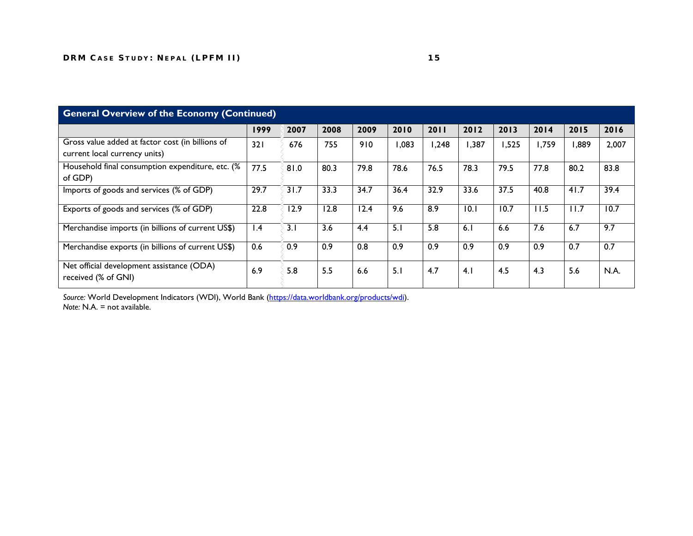| <b>General Overview of the Economy (Continued)</b>                                |                 |      |      |      |       |       |       |       |       |       |       |  |  |
|-----------------------------------------------------------------------------------|-----------------|------|------|------|-------|-------|-------|-------|-------|-------|-------|--|--|
|                                                                                   | 1999            | 2007 | 2008 | 2009 | 2010  | 2011  | 2012  | 2013  | 2014  | 2015  | 2016  |  |  |
| Gross value added at factor cost (in billions of<br>current local currency units) | 321             | 676  | 755  | 910  | 1,083 | 1,248 | 1,387 | 1,525 | 1,759 | 1,889 | 2,007 |  |  |
| Household final consumption expenditure, etc. (%<br>of GDP)                       | 77.5            | 81.0 | 80.3 | 79.8 | 78.6  | 76.5  | 78.3  | 79.5  | 77.8  | 80.2  | 83.8  |  |  |
| Imports of goods and services (% of GDP)                                          | 29.7            | 31.7 | 33.3 | 34.7 | 36.4  | 32.9  | 33.6  | 37.5  | 40.8  | 41.7  | 39.4  |  |  |
| Exports of goods and services (% of GDP)                                          | 22.8            | 12.9 | 12.8 | 12.4 | 9.6   | 8.9   | 10.1  | 10.7  | 11.5  | 11.7  | 10.7  |  |  |
| Merchandise imports (in billions of current US\$)                                 | $\mathsf{I}$ .4 | 3.1  | 3.6  | 4.4  | 5.1   | 5.8   | 6.1   | 6.6   | 7.6   | 6.7   | 9.7   |  |  |
| Merchandise exports (in billions of current US\$)                                 | 0.6             | 0.9  | 0.9  | 0.8  | 0.9   | 0.9   | 0.9   | 0.9   | 0.9   | 0.7   | 0.7   |  |  |
| Net official development assistance (ODA)<br>received (% of GNI)                  | 6.9             | 5.8  | 5.5  | 6.6  | 5.1   | 4.7   | 4.1   | 4.5   | 4.3   | 5.6   | N.A.  |  |  |

*Source:* World Development Indicators (WDI), World Bank [\(https://data.worldbank.org/products/wdi\)](https://data.worldbank.org/products/wdi). *Note:* N.A. = not available.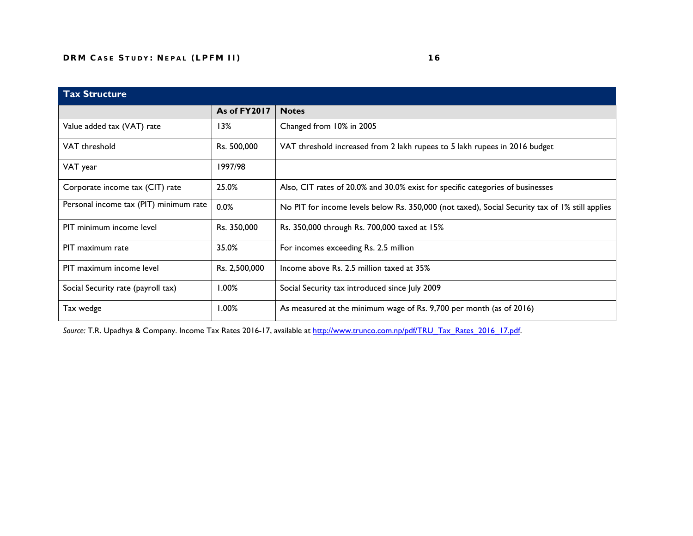| <b>Tax Structure</b>                   |                     |                                                                                                 |
|----------------------------------------|---------------------|-------------------------------------------------------------------------------------------------|
|                                        | <b>As of FY2017</b> | <b>Notes</b>                                                                                    |
| Value added tax (VAT) rate             | 13%                 | Changed from 10% in 2005                                                                        |
| VAT threshold                          | Rs. 500,000         | VAT threshold increased from 2 lakh rupees to 5 lakh rupees in 2016 budget                      |
| VAT year                               | 1997/98             |                                                                                                 |
| Corporate income tax (CIT) rate        | 25.0%               | Also, CIT rates of 20.0% and 30.0% exist for specific categories of businesses                  |
| Personal income tax (PIT) minimum rate | 0.0%                | No PIT for income levels below Rs. 350,000 (not taxed), Social Security tax of 1% still applies |
| PIT minimum income level               | Rs. 350,000         | Rs. 350,000 through Rs. 700,000 taxed at 15%                                                    |
| PIT maximum rate                       | 35.0%               | For incomes exceeding Rs. 2.5 million                                                           |
| PIT maximum income level               | Rs. 2,500,000       | Income above Rs. 2.5 million taxed at 35%                                                       |
| Social Security rate (payroll tax)     | 1.00%               | Social Security tax introduced since July 2009                                                  |
| Tax wedge                              | 1.00%               | As measured at the minimum wage of Rs. 9,700 per month (as of 2016)                             |

Source: T.R. Upadhya & Company. Income Tax Rates 2016-17, available at [http://www.trunco.com.np/pdf/TRU\\_Tax\\_Rates\\_2016\\_17.pdf.](http://www.trunco.com.np/pdf/TRU_Tax_Rates_2016_17.pdf)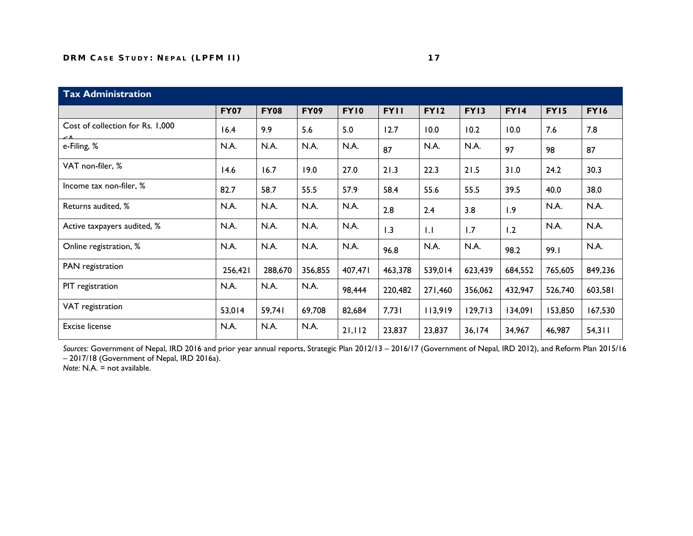| <b>Tax Administration</b>        |             |             |             |             |             |              |             |             |         |             |  |  |  |
|----------------------------------|-------------|-------------|-------------|-------------|-------------|--------------|-------------|-------------|---------|-------------|--|--|--|
|                                  | <b>FY07</b> | <b>FY08</b> | <b>FY09</b> | <b>FY10</b> | <b>FYII</b> | <b>FY12</b>  | <b>FY13</b> | <b>FY14</b> | FY15    | <b>FY16</b> |  |  |  |
| Cost of collection for Rs. 1,000 | 16.4        | 9.9         | 5.6         | 5.0         | 12.7        | 10.0         | 10.2        | 10.0        | 7.6     | 7.8         |  |  |  |
| e-Filing, %                      | N.A.        | N.A.        | N.A.        | N.A.        | 87          | N.A.         | N.A.        | 97          | 98      | 87          |  |  |  |
| VAT non-filer, %                 | 14.6        | 16.7        | 19.0        | 27.0        | 21.3        | 22.3         | 21.5        | 31.0        | 24.2    | 30.3        |  |  |  |
| Income tax non-filer, %          | 82.7        | 58.7        | 55.5        | 57.9        | 58.4        | 55.6         | 55.5        | 39.5        | 40.0    | 38.0        |  |  |  |
| Returns audited, %               | N.A.        | N.A.        | N.A.        | N.A.        | 2.8         | 2.4          | 3.8         | 1.9         | N.A.    | N.A.        |  |  |  |
| Active taxpayers audited, %      | N.A.        | N.A.        | N.A.        | N.A.        | 1.3         | $\mathsf{L}$ | 1.7         | 1.2         | N.A.    | N.A.        |  |  |  |
| Online registration, %           | N.A.        | N.A.        | N.A.        | N.A.        | 96.8        | N.A.         | N.A.        | 98.2        | 99.1    | N.A.        |  |  |  |
| PAN registration                 | 256,421     | 288,670     | 356,855     | 407,471     | 463,378     | 539,014      | 623,439     | 684,552     | 765,605 | 849,236     |  |  |  |
| PIT registration                 | N.A.        | N.A.        | N.A.        | 98,444      | 220,482     | 271,460      | 356,062     | 432,947     | 526,740 | 603,581     |  |  |  |
| VAT registration                 | 53,014      | 59,741      | 69,708      | 82,684      | 7,731       | 113,919      | 129,713     | 134,091     | 153,850 | 167,530     |  |  |  |
| <b>Excise license</b>            | N.A.        | N.A.        | N.A.        | 21,112      | 23,837      | 23,837       | 36, 174     | 34,967      | 46,987  | 54,311      |  |  |  |

*Sources:* Government of Nepal, IRD 2016 and prior year annual reports, Strategic Plan 2012/13 – 2016/17 (Government of Nepal, IRD 2012), and Reform Plan 2015/16 – 2017/18 (Government of Nepal, IRD 2016a).

*Note: N.A.* = not available.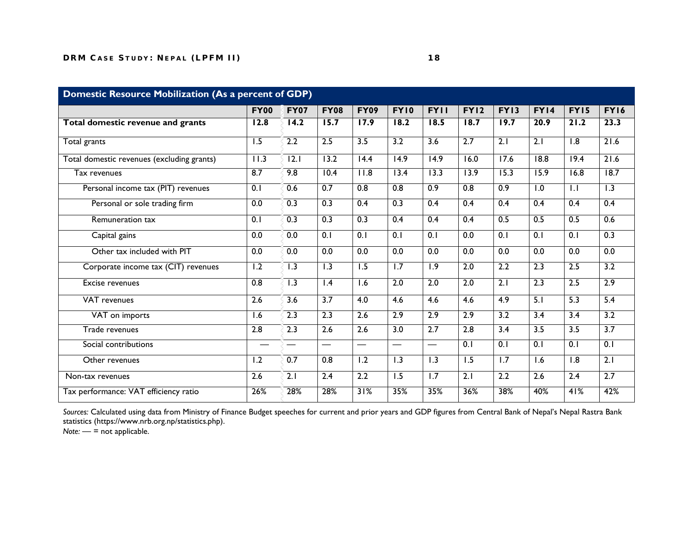|                                            | <b>FY00</b>       | <b>FY07</b>              | <b>FY08</b>              | <b>FY09</b>              | <b>FY10</b>       | <b>FYII</b>              | <b>FY12</b>       | FY13              | <b>FY14</b>      | FY15              | <b>FY16</b>      |
|--------------------------------------------|-------------------|--------------------------|--------------------------|--------------------------|-------------------|--------------------------|-------------------|-------------------|------------------|-------------------|------------------|
| Total domestic revenue and grants          | $\overline{12.8}$ | 14.2                     | 15.7                     | 17.9                     | 18.2              | 18.5                     | 18.7              | 19.7              | 20.9             | 21.2              | 23.3             |
| Total grants                               | $\overline{1.5}$  | 2.2                      | 2.5                      | $\overline{3.5}$         | $\overline{3.2}$  | $\overline{3.6}$         | 2.7               | 2.1               | 2.1              | $\overline{1.8}$  | 21.6             |
| Total domestic revenues (excluding grants) | 11.3              | $\overline{12.1}$        | 13.2                     | $\overline{14.4}$        | $\overline{14.9}$ | $\overline{14.9}$        | $\overline{16.0}$ | $\overline{17.6}$ | 18.8             | 19.4              | 21.6             |
| Tax revenues                               | 8.7               | 9.8                      | 10.4                     | 11.8                     | $\overline{13.4}$ | $\overline{13.3}$        | 13.9              | $\overline{15.3}$ | 15.9             | $\overline{16.8}$ | 18.7             |
| Personal income tax (PIT) revenues         | 0.1               | 0.6                      | 0.7                      | 0.8                      | 0.8               | 0.9                      | 0.8               | $\overline{0.9}$  | 1.0              | 1.1               | $\overline{1.3}$ |
| Personal or sole trading firm              | $\overline{0.0}$  | 0.3                      | 0.3                      | 0.4                      | 0.3               | 0.4                      | 0.4               | $\overline{0.4}$  | 0.4              | 0.4               | 0.4              |
| Remuneration tax                           | 0.1               | 0.3                      | 0.3                      | 0.3                      | 0.4               | 0.4                      | 0.4               | 0.5               | 0.5              | 0.5               | 0.6              |
| Capital gains                              | 0.0               | 0.0                      | 0.1                      | 0.1                      | 0.1               | 0.1                      | $\overline{0.0}$  | 0.1               | 0.1              | 0.1               | 0.3              |
| Other tax included with PIT                | 0.0               | 0.0                      | 0.0                      | 0.0                      | 0.0               | 0.0                      | 0.0               | 0.0               | 0.0              | 0.0               | 0.0              |
| Corporate income tax (CIT) revenues        | $\overline{1.2}$  | $\overline{1.3}$         | $\overline{1.3}$         | $\overline{1.5}$         | 1.7               | $\overline{1.9}$         | 2.0               | 2.2               | 2.3              | 2.5               | 3.2              |
| <b>Excise revenues</b>                     | 0.8               | $\overline{1.3}$         | $\overline{1.4}$         | 1.6                      | 2.0               | 2.0                      | 2.0               | 2.1               | $\overline{2.3}$ | 2.5               | 2.9              |
| <b>VAT</b> revenues                        | $\overline{2.6}$  | 3.6                      | $\overline{3.7}$         | 4.0                      | 4.6               | 4.6                      | 4.6               | 4.9               | 5.1              | 5.3               | 5.4              |
| VAT on imports                             | $\overline{1.6}$  | 2.3                      | 2.3                      | 2.6                      | 2.9               | 2.9                      | 2.9               | 3.2               | $\overline{3.4}$ | $\overline{3.4}$  | 3.2              |
| Trade revenues                             | 2.8               | 2.3                      | $\overline{2.6}$         | 2.6                      | 3.0               | 2.7                      | 2.8               | $\overline{3.4}$  | $\overline{3.5}$ | 3.5               | $\overline{3.7}$ |
| Social contributions                       |                   | $\overline{\phantom{0}}$ | $\overline{\phantom{0}}$ | $\overline{\phantom{0}}$ | —                 | $\overline{\phantom{0}}$ | 0.1               | $\overline{0.1}$  | 0.1              | 0.1               | 0.1              |
| Other revenues                             | $\overline{1.2}$  | 0.7                      | $\overline{0.8}$         | 1.2                      | $\overline{1.3}$  | $\overline{1.3}$         | $\overline{1.5}$  | $\overline{1.7}$  | 1.6              | $\overline{1.8}$  | 2.1              |
| Non-tax revenues                           | 2.6               | $\overline{2.1}$         | $\overline{2.4}$         | 2.2                      | 1.5               | $\overline{1.7}$         | $\overline{2.1}$  | 2.2               | 2.6              | $\overline{2.4}$  | 2.7              |
| Tax performance: VAT efficiency ratio      | 26%               | 28%                      | 28%                      | 31%                      | 35%               | 35%                      | 36%               | 38%               | 40%              | 41%               | 42%              |

*Sources:* Calculated using data from Ministry of Finance Budget speeches for current and prior years and GDP figures from Central Bank of Nepal's Nepal Rastra Bank statistics (https://www.nrb.org.np/statistics.php).

*Note:* — = not applicable.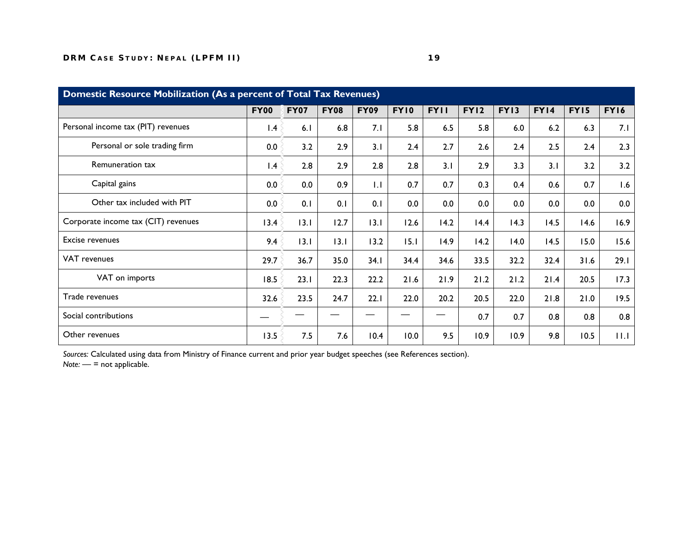| Domestic Resource Mobilization (As a percent of Total Tax Revenues) |                 |             |             |             |             |             |             |      |      |      |             |
|---------------------------------------------------------------------|-----------------|-------------|-------------|-------------|-------------|-------------|-------------|------|------|------|-------------|
|                                                                     | <b>FY00</b>     | <b>FY07</b> | <b>FY08</b> | <b>FY09</b> | <b>FY10</b> | <b>FYII</b> | <b>FY12</b> | FY13 | FY14 | FY15 | <b>FY16</b> |
| Personal income tax (PIT) revenues                                  | $\mathsf{I}$ .4 | 6.1         | 6.8         | 7.1         | 5.8         | 6.5         | 5.8         | 6.0  | 6.2  | 6.3  | 7.1         |
| Personal or sole trading firm                                       | 0.0             | 3.2         | 2.9         | 3.1         | 2.4         | 2.7         | 2.6         | 2.4  | 2.5  | 2.4  | 2.3         |
| Remuneration tax                                                    | $\mathsf{I}$ .4 | 2.8         | 2.9         | 2.8         | 2.8         | 3.1         | 2.9         | 3.3  | 3.1  | 3.2  | 3.2         |
| Capital gains                                                       | 0.0             | 0.0         | 0.9         | 1.1         | 0.7         | 0.7         | 0.3         | 0.4  | 0.6  | 0.7  | 1.6         |
| Other tax included with PIT                                         | 0.0             | 0.1         | 0.1         | 0.1         | 0.0         | 0.0         | 0.0         | 0.0  | 0.0  | 0.0  | 0.0         |
| Corporate income tax (CIT) revenues                                 | 13.4            | 13.1        | 12.7        | 13.1        | 12.6        | 14.2        | 14.4        | 14.3 | 14.5 | 14.6 | 16.9        |
| Excise revenues                                                     | 9.4             | 13.1        | 13.1        | 13.2        | 15.1        | 14.9        | 14.2        | 14.0 | 14.5 | 15.0 | 15.6        |
| VAT revenues                                                        | 29.7            | 36.7        | 35.0        | 34.1        | 34.4        | 34.6        | 33.5        | 32.2 | 32.4 | 31.6 | 29.1        |
| VAT on imports                                                      | 18.5            | 23.1        | 22.3        | 22.2        | 21.6        | 21.9        | 21.2        | 21.2 | 21.4 | 20.5 | 17.3        |
| Trade revenues                                                      | 32.6            | 23.5        | 24.7        | 22.1        | 22.0        | 20.2        | 20.5        | 22.0 | 21.8 | 21.0 | 19.5        |
| Social contributions                                                |                 |             |             |             |             |             | 0.7         | 0.7  | 0.8  | 0.8  | 0.8         |
| Other revenues                                                      | 13.5            | 7.5         | 7.6         | 10.4        | 10.0        | 9.5         | 10.9        | 10.9 | 9.8  | 10.5 | 11.1        |

*Sources:* Calculated using data from Ministry of Finance current and prior year budget speeches (see References section). *Note:* — = not applicable.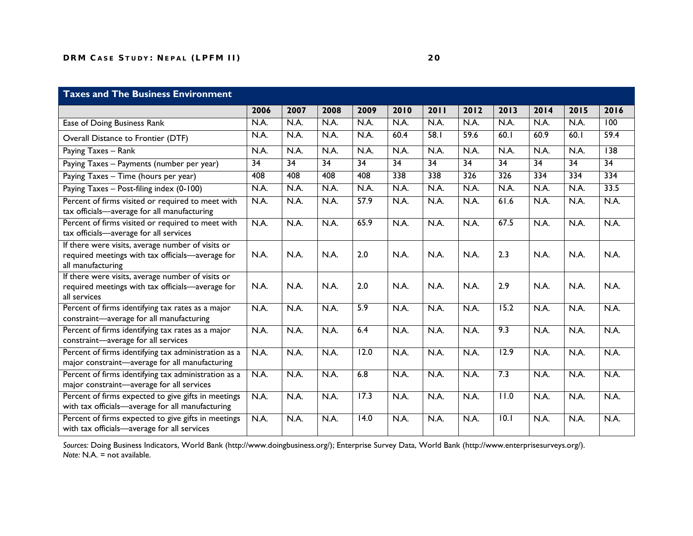### **Taxes and The Business Environment**

|                                                                                                                            | 2006 | 2007            | 2008            | 2009              | 2010 | 2011            | 2012             | 2013             | 2014            | 2015 | 2016            |
|----------------------------------------------------------------------------------------------------------------------------|------|-----------------|-----------------|-------------------|------|-----------------|------------------|------------------|-----------------|------|-----------------|
| Ease of Doing Business Rank                                                                                                | N.A. | N.A.            | N.A.            | N.A.              | N.A. | N.A.            | N.A.             | N.A.             | N.A.            | N.A. | 100             |
| Overall Distance to Frontier (DTF)                                                                                         | N.A. | N.A.            | N.A.            | N.A.              | 60.4 | 58.1            | 59.6             | 60.1             | 60.9            | 60.1 | 59.4            |
| Paying Taxes - Rank                                                                                                        | N.A. | N.A.            | N.A.            | N.A.              | N.A. | N.A.            | N.A.             | N.A.             | N.A.            | N.A. | 138             |
| Paying Taxes - Payments (number per year)                                                                                  | 34   | $\overline{34}$ | $\overline{34}$ | 34                | 34   | $\overline{34}$ | $\overline{34}$  | 34               | $\overline{34}$ | 34   | $\overline{34}$ |
| Paying Taxes - Time (hours per year)                                                                                       | 408  | 408             | 408             | 408               | 338  | 338             | $\overline{326}$ | $\overline{326}$ | 334             | 334  | 334             |
| Paying Taxes - Post-filing index (0-100)                                                                                   | N.A. | N.A.            | N.A.            | N.A.              | N.A. | N.A.            | N.A.             | N.A.             | N.A.            | N.A. | 33.5            |
| Percent of firms visited or required to meet with<br>tax officials-average for all manufacturing                           | N.A. | N.A.            | N.A.            | 57.9              | N.A. | N.A.            | N.A.             | 61.6             | N.A.            | N.A. | N.A.            |
| Percent of firms visited or required to meet with<br>tax officials-average for all services                                | N.A. | N.A.            | N.A.            | 65.9              | N.A. | N.A.            | N.A.             | 67.5             | N.A.            | N.A. | N.A.            |
| If there were visits, average number of visits or<br>required meetings with tax officials-average for<br>all manufacturing | N.A. | N.A.            | N.A.            | 2.0               | N.A. | N.A.            | N.A.             | 2.3              | N.A.            | N.A. | N.A.            |
| If there were visits, average number of visits or<br>required meetings with tax officials-average for<br>all services      | N.A. | N.A.            | N.A.            | 2.0               | N.A. | N.A.            | N.A.             | 2.9              | N.A.            | N.A. | N.A.            |
| Percent of firms identifying tax rates as a major<br>constraint-average for all manufacturing                              | N.A. | N.A.            | N.A.            | 5.9               | N.A. | N.A.            | N.A.             | 15.2             | N.A.            | N.A. | N.A.            |
| Percent of firms identifying tax rates as a major<br>constraint-average for all services                                   | N.A. | N.A.            | N.A.            | 6.4               | N.A. | N.A.            | N.A.             | 9.3              | N.A.            | N.A. | N.A.            |
| Percent of firms identifying tax administration as a<br>major constraint-average for all manufacturing                     | N.A. | N.A.            | N.A.            | $\overline{12.0}$ | N.A. | N.A.            | N.A.             | 12.9             | N.A.            | N.A. | N.A.            |
| Percent of firms identifying tax administration as a<br>major constraint-average for all services                          | N.A. | N.A.            | N.A.            | 6.8               | N.A. | N.A.            | N.A.             | 7.3              | N.A.            | N.A. | N.A.            |
| Percent of firms expected to give gifts in meetings<br>with tax officials-average for all manufacturing                    | N.A. | N.A.            | N.A.            | 17.3              | N.A. | N.A.            | N.A.             | 11.0             | N.A.            | N.A. | N.A.            |
| Percent of firms expected to give gifts in meetings<br>with tax officials-average for all services                         | N.A. | N.A.            | N.A.            | 14.0              | N.A. | N.A.            | N.A.             | 10.1             | N.A.            | N.A. | N.A.            |

*Sources:* Doing Business Indicators, World Bank (http://www.doingbusiness.org/); Enterprise Survey Data, World Bank (http://www.enterprisesurveys.org/). *Note:* N.A. = not available.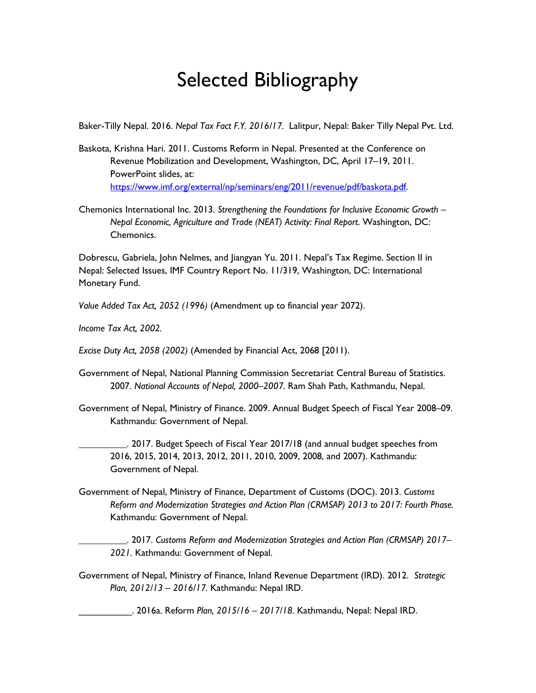### Selected Bibliography

Baker-Tilly Nepal. 2016. *Nepal Tax Fact F.Y. 2016/17.* Lalitpur, Nepal: Baker Tilly Nepal Pvt. Ltd.

- Baskota, Krishna Hari. 2011. Customs Reform in Nepal. Presented at the Conference on Revenue Mobilization and Development, Washington, DC, April 17–19, 2011. PowerPoint slides, at: [https://www.imf.org/external/np/seminars/eng/2011/revenue/pdf/baskota.pdf.](https://www.imf.org/external/np/seminars/eng/2011/revenue/pdf/baskota.pdf)
- Chemonics International Inc. 2013. *Strengthening the Foundations for Inclusive Economic Growth – Nepal Economic, Agriculture and Trade (NEAT) Activity: Final Report*. Washington, DC: Chemonics.

Dobrescu, Gabriela, John Nelmes, and Jiangyan Yu. 2011. Nepal's Tax Regime. Section II in Nepal: Selected Issues, IMF Country Report No. 11/319, Washington, DC: International Monetary Fund.

*Value Added Tax Act, 2052 (1996)* (Amendment up to financial year 2072).

*Income Tax Act, 2002.* 

*Excise Duty Act, 2058 (2002)* (Amended by Financial Act, 2068 [2011).

- Government of Nepal, National Planning Commission Secretariat Central Bureau of Statistics. 2007. *National Accounts of Nepal, 2000–2007.* Ram Shah Path, Kathmandu, Nepal.
- Government of Nepal, Ministry of Finance. 2009. Annual Budget Speech of Fiscal Year 2008–09. Kathmandu: Government of Nepal.

*\_\_\_\_\_\_\_\_\_\_.* 2017. Budget Speech of Fiscal Year 2017/18 (and annual budget speeches from 2016, 2015, 2014, 2013, 2012, 2011, 2010, 2009, 2008, and 2007). Kathmandu: Government of Nepal.

Government of Nepal, Ministry of Finance, Department of Customs (DOC). 2013. *Customs Reform and Modernization Strategies and Action Plan (CRMSAP) 2013 to 2017: Fourth Phase.*  Kathmandu: Government of Nepal.

*\_\_\_\_\_\_\_\_\_\_.* 2017. *Customs Reform and Modernization Strategies and Action Plan (CRMSAP) 2017– 2021.* Kathmandu: Government of Nepal.

Government of Nepal, Ministry of Finance, Inland Revenue Department (IRD). 2012. *Strategic Plan, 2012/13 – 2016/17.* Kathmandu: Nepal IRD.

\_\_\_\_\_\_\_\_\_\_. 2016a. Reform *Plan, 2015/16 – 2017/18.* Kathmandu, Nepal: Nepal IRD.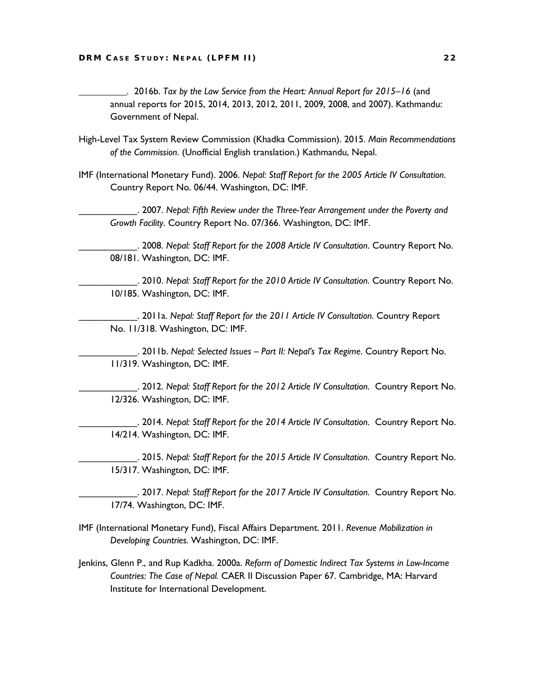*\_\_\_\_\_\_\_\_\_\_.* 2016b. *Tax by the Law Service from the Heart: Annual Report for 2015–16* (and annual reports for 2015, 2014, 2013, 2012, 2011, 2009, 2008, and 2007). Kathmandu: Government of Nepal.

- High-Level Tax System Review Commission (Khadka Commission). 2015. *Main Recommendations of the Commission*. (Unofficial English translation.) Kathmandu, Nepal.
- IMF (International Monetary Fund). 2006. *Nepal: Staff Report for the 2005 Article IV Consultation*. Country Report No. 06/44. Washington, DC: IMF.

\_\_\_\_\_\_\_\_\_\_\_. 2007. *Nepal: Fifth Review under the Three-Year Arrangement under the Poverty and Growth Facility*. Country Report No. 07/366. Washington, DC: IMF.

\_\_\_\_\_\_\_\_\_\_\_. 2008. *Nepal: Staff Report for the 2008 Article IV Consultation*. Country Report No. 08/181. Washington, DC: IMF.

\_\_\_\_\_\_\_\_\_\_\_. 2010. *Nepal: Staff Report for the 2010 Article IV Consultation*. Country Report No. 10/185. Washington, DC: IMF.

\_\_\_\_\_\_\_\_\_\_\_. 2011a. *Nepal: Staff Report for the 2011 Article IV Consultation*. Country Report No. 11/318. Washington, DC: IMF.

\_\_\_\_\_\_\_\_\_\_\_. 2011b. *Nepal: Selected Issues – Part II: Nepal's Tax Regime*. Country Report No. 11/319. Washington, DC: IMF.

\_\_\_\_\_\_\_\_\_\_\_. 2012. *Nepal: Staff Report for the 2012 Article IV Consultation*. Country Report No. 12/326. Washington, DC: IMF.

\_\_\_\_\_\_\_\_\_\_\_. 2014. *Nepal: Staff Report for the 2014 Article IV Consultation*. Country Report No. 14/214. Washington, DC: IMF.

\_\_\_\_\_\_\_\_\_\_\_. 2015. *Nepal: Staff Report for the 2015 Article IV Consultation*. Country Report No. 15/317. Washington, DC: IMF.

\_\_\_\_\_\_\_\_\_\_\_. 2017. *Nepal: Staff Report for the 2017 Article IV Consultation*. Country Report No. 17/74. Washington, DC: IMF.

- IMF (International Monetary Fund), Fiscal Affairs Department. 2011. *Revenue Mobilization in Developing Countries.* Washington, DC: IMF.
- Jenkins, Glenn P., and Rup Kadkha. 2000a. *Reform of Domestic Indirect Tax Systems in Low-Income Countries: The Case of Nepal.* CAER II Discussion Paper 67. Cambridge, MA: Harvard Institute for International Development.